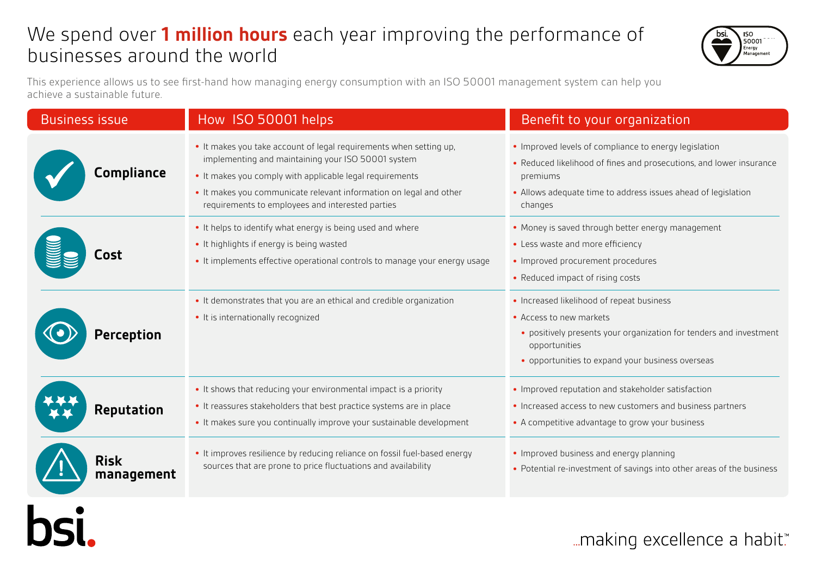## We spend over **1 million hours** each year improving the performance of businesses around the world



This experience allows us to see first-hand how managing energy consumption with an ISO 50001 management system can help you achieve a sustainable future.

| <b>Business issue</b>     | How ISO 50001 helps                                                                                                                                                                                                                                                                                            | Benefit to your organization                                                                                                                                                                                         |
|---------------------------|----------------------------------------------------------------------------------------------------------------------------------------------------------------------------------------------------------------------------------------------------------------------------------------------------------------|----------------------------------------------------------------------------------------------------------------------------------------------------------------------------------------------------------------------|
| <b>Compliance</b>         | • It makes you take account of legal requirements when setting up,<br>implementing and maintaining your ISO 50001 system<br>. It makes you comply with applicable legal requirements<br>• It makes you communicate relevant information on legal and other<br>requirements to employees and interested parties | • Improved levels of compliance to energy legislation<br>• Reduced likelihood of fines and prosecutions, and lower insurance<br>premiums<br>• Allows adequate time to address issues ahead of legislation<br>changes |
| Cost                      | • It helps to identify what energy is being used and where<br>• It highlights if energy is being wasted<br>• It implements effective operational controls to manage your energy usage                                                                                                                          | • Money is saved through better energy management<br>• Less waste and more efficiency<br>• Improved procurement procedures<br>• Reduced impact of rising costs                                                       |
| <b>Perception</b>         | • It demonstrates that you are an ethical and credible organization<br>• It is internationally recognized                                                                                                                                                                                                      | • Increased likelihood of repeat business<br>• Access to new markets<br>• positively presents your organization for tenders and investment<br>opportunities<br>• opportunities to expand your business overseas      |
| <b>Reputation</b>         | • It shows that reducing your environmental impact is a priority<br>• It reassures stakeholders that best practice systems are in place<br>• It makes sure you continually improve your sustainable development                                                                                                | • Improved reputation and stakeholder satisfaction<br>• Increased access to new customers and business partners<br>• A competitive advantage to grow your business                                                   |
| <b>Risk</b><br>management | . It improves resilience by reducing reliance on fossil fuel-based energy<br>sources that are prone to price fluctuations and availability                                                                                                                                                                     | • Improved business and energy planning<br>• Potential re-investment of savings into other areas of the business                                                                                                     |



... making excellence a habit.™